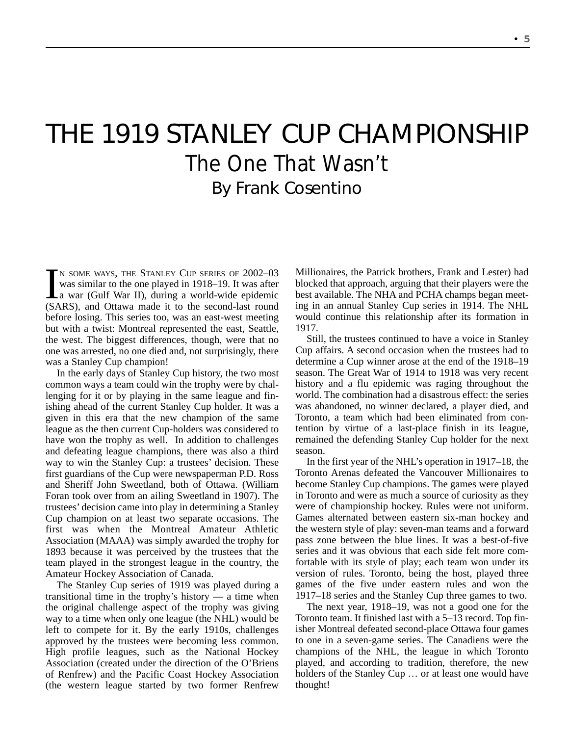## THE 1919 STANLEY CUP CHAMPIONSHIP The One That Wasn't By Frank Cosentino

 $\prod_{(S)^\Delta}$ N SOME WAYS, THE STANLEY CUP SERIES OF 2002-03 was similar to the one played in 1918–19. It was after a war (Gulf War II), during a world-wide epidemic (SARS), and Ottawa made it to the second-last round before losing. This series too, was an east-west meeting but with a twist: Montreal represented the east, Seattle, the west. The biggest differences, though, were that no one was arrested, no one died and, not surprisingly, there was a Stanley Cup champion!

In the early days of Stanley Cup history, the two most common ways a team could win the trophy were by challenging for it or by playing in the same league and finishing ahead of the current Stanley Cup holder. It was a given in this era that the new champion of the same league as the then current Cup-holders was considered to have won the trophy as well. In addition to challenges and defeating league champions, there was also a third way to win the Stanley Cup: a trustees' decision. These first guardians of the Cup were newspaperman P.D. Ross and Sheriff John Sweetland, both of Ottawa. (William Foran took over from an ailing Sweetland in 1907). The trustees' decision came into play in determining a Stanley Cup champion on at least two separate occasions. The first was when the Montreal Amateur Athletic Association (MAAA) was simply awarded the trophy for 1893 because it was perceived by the trustees that the team played in the strongest league in the country, the Amateur Hockey Association of Canada.

The Stanley Cup series of 1919 was played during a transitional time in the trophy's history — a time when the original challenge aspect of the trophy was giving way to a time when only one league (the NHL) would be left to compete for it. By the early 1910s, challenges approved by the trustees were becoming less common. High profile leagues, such as the National Hockey Association (created under the direction of the O'Briens of Renfrew) and the Pacific Coast Hockey Association (the western league started by two former Renfrew

Millionaires, the Patrick brothers, Frank and Lester) had blocked that approach, arguing that their players were the best available. The NHA and PCHA champs began meeting in an annual Stanley Cup series in 1914. The NHL would continue this relationship after its formation in 1917.

Still, the trustees continued to have a voice in Stanley Cup affairs. A second occasion when the trustees had to determine a Cup winner arose at the end of the 1918–19 season. The Great War of 1914 to 1918 was very recent history and a flu epidemic was raging throughout the world. The combination had a disastrous effect: the series was abandoned, no winner declared, a player died, and Toronto, a team which had been eliminated from contention by virtue of a last-place finish in its league, remained the defending Stanley Cup holder for the next season.

In the first year of the NHL's operation in 1917–18, the Toronto Arenas defeated the Vancouver Millionaires to become Stanley Cup champions. The games were played in Toronto and were as much a source of curiosity as they were of championship hockey. Rules were not uniform. Games alternated between eastern six-man hockey and the western style of play: seven-man teams and a forward pass zone between the blue lines. It was a best-of-five series and it was obvious that each side felt more comfortable with its style of play; each team won under its version of rules. Toronto, being the host, played three games of the five under eastern rules and won the 1917–18 series and the Stanley Cup three games to two.

The next year, 1918–19, was not a good one for the Toronto team. It finished last with a 5–13 record. Top finisher Montreal defeated second-place Ottawa four games to one in a seven-game series. The Canadiens were the champions of the NHL, the league in which Toronto played, and according to tradition, therefore, the new holders of the Stanley Cup … or at least one would have thought!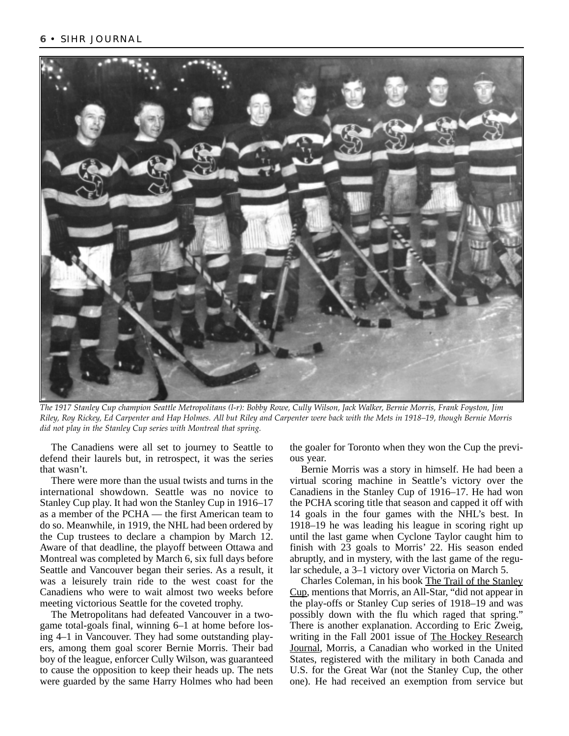

*The 1917 Stanley Cup champion Seattle Metropolitans (l-r): Bobby Rowe, Cully Wilson, Jack Walker, Bernie Morris, Frank Foyston, Jim Riley, Roy Rickey, Ed Carpenter and Hap Holmes. All but Riley and Carpenter were back with the Mets in 1918–19, though Bernie Morris did not play in the Stanley Cup series with Montreal that spring.* 

The Canadiens were all set to journey to Seattle to defend their laurels but, in retrospect, it was the series that wasn't.

There were more than the usual twists and turns in the international showdown. Seattle was no novice to Stanley Cup play. It had won the Stanley Cup in 1916–17 as a member of the PCHA — the first American team to do so. Meanwhile, in 1919, the NHL had been ordered by the Cup trustees to declare a champion by March 12. Aware of that deadline, the playoff between Ottawa and Montreal was completed by March 6, six full days before Seattle and Vancouver began their series. As a result, it was a leisurely train ride to the west coast for the Canadiens who were to wait almost two weeks before meeting victorious Seattle for the coveted trophy.

The Metropolitans had defeated Vancouver in a twogame total-goals final, winning 6–1 at home before losing 4–1 in Vancouver. They had some outstanding players, among them goal scorer Bernie Morris. Their bad boy of the league, enforcer Cully Wilson, was guaranteed to cause the opposition to keep their heads up. The nets were guarded by the same Harry Holmes who had been the goaler for Toronto when they won the Cup the previous year.

Bernie Morris was a story in himself. He had been a virtual scoring machine in Seattle's victory over the Canadiens in the Stanley Cup of 1916–17. He had won the PCHA scoring title that season and capped it off with 14 goals in the four games with the NHL's best. In 1918–19 he was leading his league in scoring right up until the last game when Cyclone Taylor caught him to finish with 23 goals to Morris' 22. His season ended abruptly, and in mystery, with the last game of the regular schedule, a 3–1 victory over Victoria on March 5.

Charles Coleman, in his book The Trail of the Stanley Cup, mentions that Morris, an All-Star, "did not appear in the play-offs or Stanley Cup series of 1918–19 and was possibly down with the flu which raged that spring." There is another explanation. According to Eric Zweig, writing in the Fall 2001 issue of The Hockey Research Journal, Morris, a Canadian who worked in the United States, registered with the military in both Canada and U.S. for the Great War (not the Stanley Cup, the other one). He had received an exemption from service but